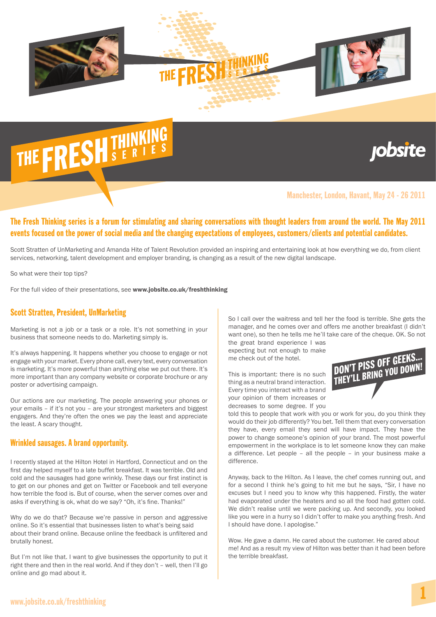

## THE FRESH THINKING

### **jobsite**

#### Manchester, London, Havant, May 24 - 26 2011

#### The Fresh Thinking series is a forum for stimulating and sharing conversations with thought leaders from around the world. The May 2011 events focused on the power of social media and the changing expectations of employees, customers/clients and potential candidates.

Scott Stratten of UnMarketing and Amanda Hite of Talent Revolution provided an inspiring and entertaining look at how everything we do, from client services, networking, talent development and employer branding, is changing as a result of the new digital landscape.

So what were their top tips?

For the full video of their presentations, see www.jobsite.co.uk/freshthinking

#### Scott Stratten, President, UnMarketing

Marketing is not a job or a task or a role. It's not something in your business that someone needs to do. Marketing simply is.

It's always happening. It happens whether you choose to engage or not engage with your market. Every phone call, every text, every conversation is marketing. It's more powerful than anything else we put out there. It's more important than any company website or corporate brochure or any poster or advertising campaign.

Our actions are our marketing. The people answering your phones or your emails – if it's not you – are your strongest marketers and biggest engagers. And they're often the ones we pay the least and appreciate the least. A scary thought.

#### Wrinkled sausages. A brand opportunity.

I recently stayed at the Hilton Hotel in Hartford, Connecticut and on the first day helped myself to a late buffet breakfast. It was terrible. Old and cold and the sausages had gone wrinkly. These days our first instinct is to get on our phones and get on Twitter or Facebook and tell everyone how terrible the food is. But of course, when the server comes over and asks if everything is ok, what do we say? "Oh, it's fine. Thanks!"

Why do we do that? Because we're passive in person and aggressive online. So it's essential that businesses listen to what's being said about their brand online. Because online the feedback is unfiltered and brutally honest.

But I'm not like that. I want to give businesses the opportunity to put it right there and then in the real world. And if they don't – well, then I'll go online and go mad about it.

So I call over the waitress and tell her the food is terrible. She gets the manager, and he comes over and offers me another breakfast (I didn't want one), so then he tells me he'll take care of the cheque. OK. So not

the great brand experience I was expecting but not enough to make me check out of the hotel.

This is important: there is no such thing as a neutral brand interaction. Every time you interact with a brand your opinion of them increases or decreases to some degree. If you



told this to people that work with you or work for you, do you think they would do their job differently? You bet. Tell them that every conversation they have, every email they send will have impact. They have the power to change someone's opinion of your brand. The most powerful empowerment in the workplace is to let someone know they can make a difference. Let people – all the people – in your business make a difference.

Anyway, back to the Hilton. As I leave, the chef comes running out, and for a second I think he's going to hit me but he says, "Sir, I have no excuses but I need you to know why this happened. Firstly, the water had evaporated under the heaters and so all the food had gotten cold. We didn't realise until we were packing up. And secondly, you looked like you were in a hurry so I didn't offer to make you anything fresh. And I should have done. I apologise."

Wow. He gave a damn. He cared about the customer. He cared about me! And as a result my view of Hilton was better than it had been before the terrible breakfast.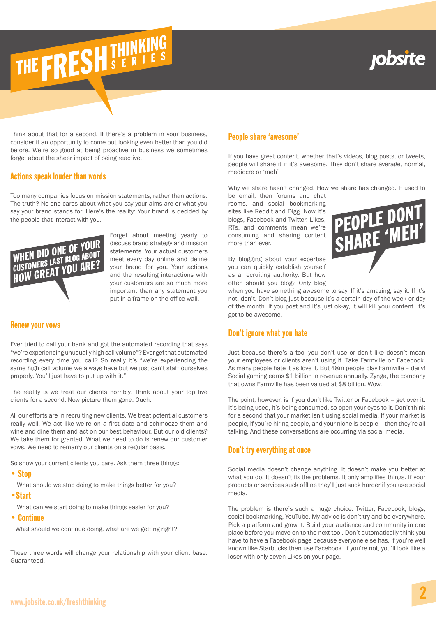## jobsite

## THE FRESH THINKING

Think about that for a second. If there's a problem in your business, consider it an opportunity to come out looking even better than you did before. We're so good at being proactive in business we sometimes forget about the sheer impact of being reactive.

#### Actions speak louder than words

Too many companies focus on mission statements, rather than actions. The truth? No-one cares about what you say your aims are or what you say your brand stands for. Here's the reality: Your brand is decided by the people that interact with you.



Forget about meeting yearly to discuss brand strategy and mission statements. Your actual customers meet every day online and define your brand for you. Your actions and the resulting interactions with your customers are so much more important than any statement you put in a frame on the office wall.

#### Renew your vows

Ever tried to call your bank and got the automated recording that says "we're experiencing unusually high call volume"? Ever get that automated recording every time you call? So really it's "we're experiencing the same high call volume we always have but we just can't staff ourselves properly. You'll just have to put up with it."

The reality is we treat our clients horribly. Think about your top five clients for a second. Now picture them gone. Ouch.

All our efforts are in recruiting new clients. We treat potential customers really well. We act like we're on a first date and schmooze them and wine and dine them and act on our best behaviour. But our old clients? We take them for granted. What we need to do is renew our customer vows. We need to remarry our clients on a regular basis.

So show your current clients you care. Ask them three things:

#### • Stop

What should we stop doing to make things better for you?

•Start

What can we start doing to make things easier for you?

• Continue

What should we continue doing, what are we getting right?

These three words will change your relationship with your client base. Guaranteed.

#### People share 'awesome'

If you have great content, whether that's videos, blog posts, or tweets, people will share it if it's awesome. They don't share average, normal, mediocre or 'meh'

Why we share hasn't changed. How we share has changed. It used to

be email, then forums and chat rooms, and social bookmarking sites like Reddit and Digg. Now it's blogs, Facebook and Twitter. Likes, RTs, and comments mean we're consuming and sharing content more than ever.



By blogging about your expertise you can quickly establish yourself as a recruiting authority. But how often should you blog? Only blog

when you have something awesome to say. If it's amazing, say it. If it's not, don't. Don't blog just because it's a certain day of the week or day of the month. If you post and it's just ok-ay, it will kill your content. It's got to be awesome.

#### Don't ignore what you hate

Just because there's a tool you don't use or don't like doesn't mean your employees or clients aren't using it. Take Farmville on Facebook. As many people hate it as love it. But 48m people play Farmville – daily! Social gaming earns \$1 billion in revenue annually. Zynga, the company that owns Farmville has been valued at \$8 billion. Wow.

The point, however, is if you don't like Twitter or Facebook – get over it. It's being used, it's being consumed, so open your eyes to it. Don't think for a second that your market isn't using social media. If your market is people, if you're hiring people, and your niche is people – then they're all talking. And these conversations are occurring via social media.

#### Don't try everything at once

Social media doesn't change anything. It doesn't make you better at what you do. It doesn't fix the problems. It only amplifies things. If your products or services suck offline they'll just suck harder if you use social media.

The problem is there's such a huge choice: Twitter, Facebook, blogs, social bookmarking, YouTube. My advice is don't try and be everywhere. Pick a platform and grow it. Build your audience and community in one place before you move on to the next tool. Don't automatically think you have to have a Facebook page because everyone else has. If you're well known like Starbucks then use Facebook. If you're not, you'll look like a loser with only seven Likes on your page.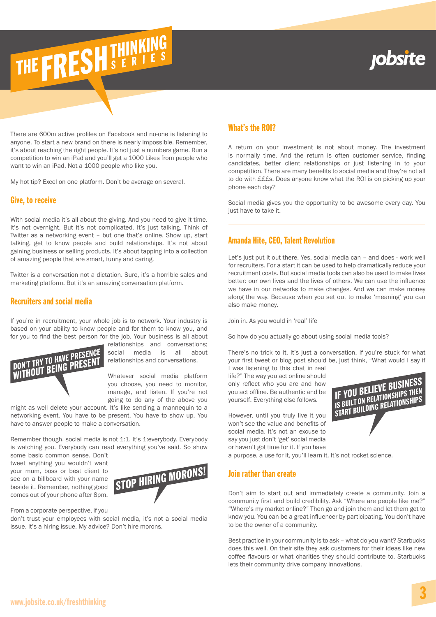## **robsite**

There are 600m active profiles on Facebook and no-one is listening to anyone. To start a new brand on there is nearly impossible. Remember, it's about reaching the right people. It's not just a numbers game. Run a competition to win an iPad and you'll get a 1000 Likes from people who want to win an iPad. Not a 1000 people who like you.

My hot tip? Excel on one platform. Don't be average on several.

THE FRESH THINKING

#### Give, to receive

With social media it's all about the giving. And you need to give it time. It's not overnight. But it's not complicated. It's just talking. Think of Twitter as a networking event – but one that's online. Show up, start talking, get to know people and build relationships. It's not about gaining business or selling products. It's about tapping into a collection of amazing people that are smart, funny and caring.

Twitter is a conversation not a dictation. Sure, it's a horrible sales and marketing platform. But it's an amazing conversation platform.

#### Recruiters and social media

If you're in recruitment, your whole job is to network. Your industry is based on your ability to know people and for them to know you, and for you to find the best person for the job. Your business is all about



relationships and conversations; social media is all about relationships and conversations.

Whatever social media platform you choose, you need to monitor, manage, and listen. If you're not going to do any of the above you

might as well delete your account. It's like sending a mannequin to a networking event. You have to be present. You have to show up. You have to answer people to make a conversation.

Remember though, social media is not 1:1. It's 1:everybody. Everybody is watching you. Everybody can read everything you've said. So show

some basic common sense. Don't tweet anything you wouldn't want your mum, boss or best client to see on a billboard with your name beside it. Remember, nothing good comes out of your phone after 8pm.



From a corporate perspective, if you

don't trust your employees with social media, it's not a social media issue. It's a hiring issue. My advice? Don't hire morons.

#### What's the ROI?

A return on your investment is not about money. The investment is normally time. And the return is often customer service, finding candidates, better client relationships or just listening in to your competition. There are many benefits to social media and they're not all to do with £££s. Does anyone know what the ROI is on picking up your phone each day?

Social media gives you the opportunity to be awesome every day. You just have to take it.

#### Amanda Hite, CEO, Talent Revolution

Let's just put it out there. Yes, social media can – and does - work well for recruiters. For a start it can be used to help dramatically reduce your recruitment costs. But social media tools can also be used to make lives better: our own lives and the lives of others. We can use the influence we have in our networks to make changes. And we can make money along the way. Because when you set out to make 'meaning' you can also make money.

Join in. As you would in 'real' life

So how do you actually go about using social media tools?

There's no trick to it. It's just a conversation. If you're stuck for what your first tweet or blog post should be, just think, "What would I say if I was listening to this chat in real

life?" The way you act online should only reflect who you are and how you act offline. Be authentic and be yourself. Everything else follows.

However, until you truly live it you won't see the value and benefits of social media. It's not an excuse to say you just don't 'get' social media or haven't got time for it. If you have

a purpose, a use for it, you'll learn it. It's not rocket science.

#### Join rather than create

Don't aim to start out and immediately create a community. Join a community first and build credibility. Ask "Where are people like me?" "Where's my market online?" Then go and join them and let them get to know you. You can be a great influencer by participating. You don't have to be the owner of a community.

Best practice in your community is to ask – what do you want? Starbucks does this well. On their site they ask customers for their ideas like new coffee flavours or what charities they should contribute to. Starbucks lets their community drive company innovations.

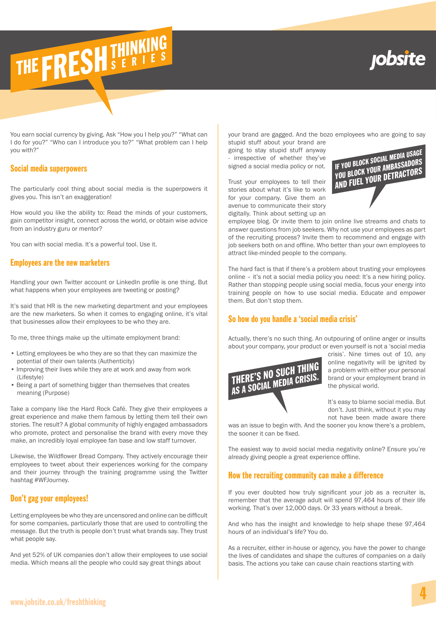# THE FRESH THINKING

### **robsite**

You earn social currency by giving. Ask "How you I help you?" "What can I do for you?" "Who can I introduce you to?" "What problem can I help you with?"

#### Social media superpowers

The particularly cool thing about social media is the superpowers it gives you. This isn't an exaggeration!

How would you like the ability to: Read the minds of your customers, gain competitor insight, connect across the world, or obtain wise advice from an industry guru or mentor?

You can with social media. It's a powerful tool. Use it.

#### Employees are the new marketers

Handling your own Twitter account or LinkedIn profile is one thing. But what happens when your employees are tweeting or posting?

It's said that HR is the new marketing department and your employees are the new marketers. So when it comes to engaging online, it's vital that businesses allow their employees to be who they are.

To me, three things make up the ultimate employment brand:

- Letting employees be who they are so that they can maximize the potential of their own talents (Authenticity)
- Improving their lives while they are at work and away from work (Lifestyle)
- Being a part of something bigger than themselves that creates meaning (Purpose)

Take a company like the Hard Rock Café. They give their employees a great experience and make them famous by letting them tell their own stories. The result? A global community of highly engaged ambassadors who promote, protect and personalise the brand with every move they make, an incredibly loyal employee fan base and low staff turnover.

Likewise, the Wildflower Bread Company. They actively encourage their employees to tweet about their experiences working for the company and their journey through the training programme using the Twitter hashtag #WFJourney.

#### Don't gag your employees!

Letting employees be who they are uncensored and online can be difficult for some companies, particularly those that are used to controlling the message. But the truth is people don't trust what brands say. They trust what people say.

And yet 52% of UK companies don't allow their employees to use social media. Which means all the people who could say great things about

your brand are gagged. And the bozo employees who are going to say

stupid stuff about your brand are going to stay stupid stuff anyway - irrespective of whether they've signed a social media policy or not.

Trust your employees to tell their stories about what it's like to work for your company. Give them an avenue to communicate their story digitally. Think about setting up an



employee blog. Or invite them to join online live streams and chats to answer questions from job seekers. Why not use your employees as part of the recruiting process? Invite them to recommend and engage with job seekers both on and offline. Who better than your own employees to attract like-minded people to the company.

The hard fact is that if there's a problem about trusting your employees online – it's not a social media policy you need: It's a new hiring policy. Rather than stopping people using social media, focus your energy into training people on how to use social media. Educate and empower them. But don't stop them.

#### So how do you handle a 'social media crisis'

Actually, there's no such thing. An outpouring of online anger or insults about your company, your product or even yourself is not a 'social media



crisis'. Nine times out of 10, any online negativity will be ignited by a problem with either your personal brand or your employment brand in the physical world.

It's easy to blame social media. But don't. Just think, without it you may not have been made aware there

was an issue to begin with. And the sooner you know there's a problem, the sooner it can be fixed.

The easiest way to avoid social media negativity online? Ensure you're already giving people a great experience offline.

#### How the recruiting community can make a difference

If you ever doubted how truly significant your job as a recruiter is, remember that the average adult will spend 97,464 hours of their life working. That's over 12,000 days. Or 33 years without a break.

And who has the insight and knowledge to help shape these 97,464 hours of an individual's life? You do.

As a recruiter, either in-house or agency, you have the power to change the lives of candidates and shape the cultures of companies on a daily basis. The actions you take can cause chain reactions starting with